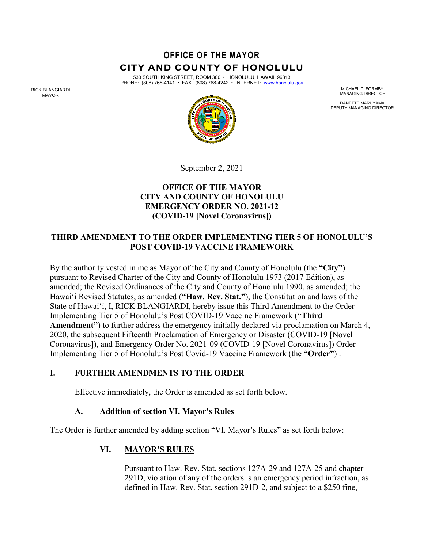# **OFFICE OF THE MAYOR CITY AND COUNTY OF HONOLULU**

530 SOUTH KING STREET, ROOM 300 • HONOLULU, HAWAII 96813 PHONE: (808) 768-4141 • FAX: (808) 768-4242 • INTERNET: www.honolulu.gov

MICHAEL D. FORMBY MANAGING DIRECTOR

DANETTE MARUYAMA DEPUTY MANAGING DIRECTOR



September 2, 2021

## **OFFICE OF THE MAYOR CITY AND COUNTY OF HONOLULU EMERGENCY ORDER NO. 2021-12 (COVID-19 [Novel Coronavirus])**

## **THIRD AMENDMENT TO THE ORDER IMPLEMENTING TIER 5 OF HONOLULU'S POST COVID-19 VACCINE FRAMEWORK**

By the authority vested in me as Mayor of the City and County of Honolulu (the **"City"**) pursuant to Revised Charter of the City and County of Honolulu 1973 (2017 Edition), as amended; the Revised Ordinances of the City and County of Honolulu 1990, as amended; the Hawai'i Revised Statutes, as amended (**"Haw. Rev. Stat."**), the Constitution and laws of the State of Hawai'i, I, RICK BLANGIARDI, hereby issue this Third Amendment to the Order Implementing Tier 5 of Honolulu's Post COVID-19 Vaccine Framework (**"Third Amendment"**) to further address the emergency initially declared via proclamation on March 4, 2020, the subsequent Fifteenth Proclamation of Emergency or Disaster (COVID-19 [Novel Coronavirus]), and Emergency Order No. 2021-09 (COVID-19 [Novel Coronavirus]) Order Implementing Tier 5 of Honolulu's Post Covid-19 Vaccine Framework (the **"Order"**) .

## **I. FURTHER AMENDMENTS TO THE ORDER**

Effective immediately, the Order is amended as set forth below.

## **A. Addition of section VI. Mayor's Rules**

The Order is further amended by adding section "VI. Mayor's Rules" as set forth below:

## **VI. MAYOR'S RULES**

Pursuant to Haw. Rev. Stat. sections 127A-29 and 127A-25 and chapter 291D, violation of any of the orders is an emergency period infraction, as defined in Haw. Rev. Stat. section 291D-2, and subject to a \$250 fine,

RICK BLANGIARDI MAYOR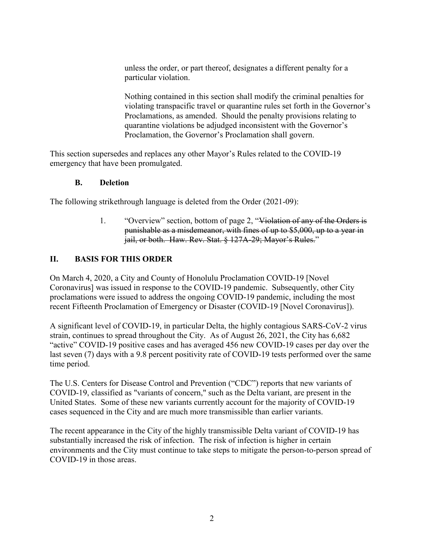unless the order, or part thereof, designates a different penalty for a particular violation.

Nothing contained in this section shall modify the criminal penalties for violating transpacific travel or quarantine rules set forth in the Governor's Proclamations, as amended. Should the penalty provisions relating to quarantine violations be adjudged inconsistent with the Governor's Proclamation, the Governor's Proclamation shall govern.

This section supersedes and replaces any other Mayor's Rules related to the COVID-19 emergency that have been promulgated.

#### **B. Deletion**

The following strikethrough language is deleted from the Order (2021-09):

1. "Overview" section, bottom of page 2, "Violation of any of the Orders is punishable as a misdemeanor, with fines of up to \$5,000, up to a year in jail, or both. Haw. Rev. Stat. § 127A-29; Mavor's Rules."

#### **II. BASIS FOR THIS ORDER**

On March 4, 2020, a City and County of Honolulu Proclamation COVID-19 [Novel Coronavirus] was issued in response to the COVID-19 pandemic. Subsequently, other City proclamations were issued to address the ongoing COVID-19 pandemic, including the most recent Fifteenth Proclamation of Emergency or Disaster (COVID-19 [Novel Coronavirus]).

A significant level of COVID-19, in particular Delta, the highly contagious SARS-CoV-2 virus strain, continues to spread throughout the City. As of August 26, 2021, the City has 6,682 "active" COVID-19 positive cases and has averaged 456 new COVID-19 cases per day over the last seven (7) days with a 9.8 percent positivity rate of COVID-19 tests performed over the same time period.

The U.S. Centers for Disease Control and Prevention ("CDC") reports that new variants of COVID-19, classified as "variants of concern," such as the Delta variant, are present in the United States. Some of these new variants currently account for the majority of COVID-19 cases sequenced in the City and are much more transmissible than earlier variants.

The recent appearance in the City of the highly transmissible Delta variant of COVID-19 has substantially increased the risk of infection. The risk of infection is higher in certain environments and the City must continue to take steps to mitigate the person-to-person spread of COVID-19 in those areas.